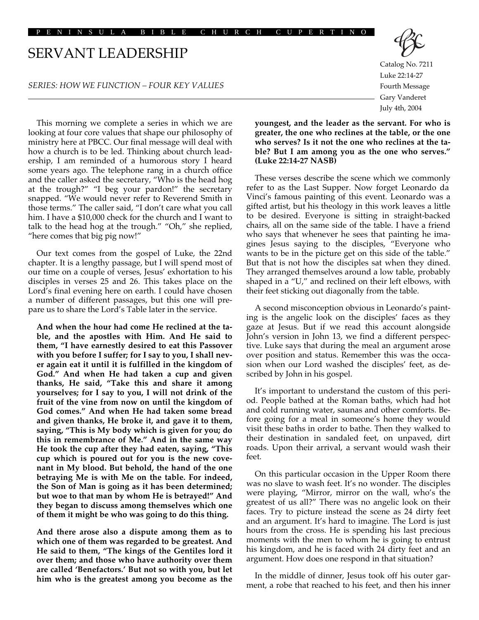## SERVANT LEADERSHIP

## *SERIES: HOW WE FUNCTION – FOUR KEY VALUES*

This morning we complete a series in which we are looking at four core values that shape our philosophy of ministry here at PBCC. Our final message will deal with how a church is to be led. Thinking about church leadership, I am reminded of a humorous story I heard some years ago. The telephone rang in a church office and the caller asked the secretary, "Who is the head hog at the trough?" "I beg your pardon!" the secretary snapped. "We would never refer to Reverend Smith in those terms." The caller said, "I don't care what you call him. I have a \$10,000 check for the church and I want to talk to the head hog at the trough." "Oh," she replied, "here comes that big pig now!"

Our text comes from the gospel of Luke, the 22nd chapter. It is a lengthy passage, but I will spend most of our time on a couple of verses, Jesus' exhortation to his disciples in verses 25 and 26. This takes place on the Lord's final evening here on earth. I could have chosen a number of different passages, but this one will prepare us to share the Lord's Table later in the service.

**And when the hour had come He reclined at the table, and the apostles with Him. And He said to them, "I have earnestly desired to eat this Passover with you before I suffer; for I say to you, I shall never again eat it until it is fulfilled in the kingdom of God." And when He had taken a cup and given thanks, He said, "Take this and share it among yourselves; for I say to you, I will not drink of the fruit of the vine from now on until the kingdom of God comes." And when He had taken some bread and given thanks, He broke it, and gave it to them, saying, "This is My body which is given for you; do this in remembrance of Me." And in the same way He took the cup after they had eaten, saying, "This cup which is poured out for you is the new covenant in My blood. But behold, the hand of the one betraying Me is with Me on the table. For indeed, the Son of Man is going as it has been determined; but woe to that man by whom He is betrayed!" And they began to discuss among themselves which one of them it might be who was going to do this thing.**

**And there arose also a dispute among them as to which one of them was regarded to be greatest. And He said to them, "The kings of the Gentiles lord it over them; and those who have authority over them are called 'Benefactors.' But not so with you, but let him who is the greatest among you become as the**

Catalog No. 7211 Luke 22:14-27 Fourth Message Gary Vanderet July 4th, 2004

**youngest, and the leader as the servant. For who is greater, the one who reclines at the table, or the one who serves? Is it not the one who reclines at the table? But I am among you as the one who serves." (Luke 22:14-27 NASB)**

These verses describe the scene which we commonly refer to as the Last Supper. Now forget Leonardo da Vinci's famous painting of this event. Leonardo was a gifted artist, but his theology in this work leaves a little to be desired. Everyone is sitting in straight-backed chairs, all on the same side of the table. I have a friend who says that whenever he sees that painting he imagines Jesus saying to the disciples, "Everyone who wants to be in the picture get on this side of the table." But that is not how the disciples sat when they dined. They arranged themselves around a low table, probably shaped in a "U," and reclined on their left elbows, with their feet sticking out diagonally from the table.

A second misconception obvious in Leonardo's painting is the angelic look on the disciples' faces as they gaze at Jesus. But if we read this account alongside John's version in John 13, we find a different perspective. Luke says that during the meal an argument arose over position and status. Remember this was the occasion when our Lord washed the disciples' feet, as described by John in his gospel.

It's important to understand the custom of this period. People bathed at the Roman baths, which had hot and cold running water, saunas and other comforts. Before going for a meal in someone's home they would visit these baths in order to bathe. Then they walked to their destination in sandaled feet, on unpaved, dirt roads. Upon their arrival, a servant would wash their feet.

On this particular occasion in the Upper Room there was no slave to wash feet. It's no wonder. The disciples were playing, "Mirror, mirror on the wall, who's the greatest of us all?" There was no angelic look on their faces. Try to picture instead the scene as 24 dirty feet and an argument. It's hard to imagine. The Lord is just hours from the cross. He is spending his last precious moments with the men to whom he is going to entrust his kingdom, and he is faced with 24 dirty feet and an argument. How does one respond in that situation?

In the middle of dinner, Jesus took off his outer garment, a robe that reached to his feet, and then his inner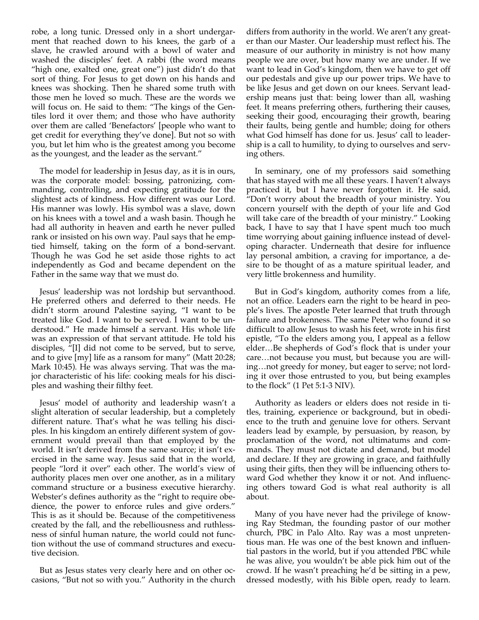robe, a long tunic. Dressed only in a short undergarment that reached down to his knees, the garb of a slave, he crawled around with a bowl of water and washed the disciples' feet. A rabbi (the word means "high one, exalted one, great one") just didn't do that sort of thing. For Jesus to get down on his hands and knees was shocking. Then he shared some truth with those men he loved so much. These are the words we will focus on. He said to them: "The kings of the Gentiles lord it over them; and those who have authority over them are called 'Benefactors' [people who want to get credit for everything they've done]. But not so with you, but let him who is the greatest among you become as the youngest, and the leader as the servant."

The model for leadership in Jesus day, as it is in ours, was the corporate model: bossing, patronizing, commanding, controlling, and expecting gratitude for the slightest acts of kindness. How different was our Lord. His manner was lowly. His symbol was a slave, down on his knees with a towel and a wash basin. Though he had all authority in heaven and earth he never pulled rank or insisted on his own way. Paul says that he emptied himself, taking on the form of a bond-servant. Though he was God he set aside those rights to act independently as God and became dependent on the Father in the same way that we must do.

Jesus' leadership was not lordship but servanthood. He preferred others and deferred to their needs. He didn't storm around Palestine saying, "I want to be treated like God. I want to be served. I want to be understood." He made himself a servant. His whole life was an expression of that servant attitude. He told his disciples, "[I] did not come to be served, but to serve, and to give [my] life as a ransom for many" (Matt 20:28; Mark 10:45). He was always serving. That was the major characteristic of his life: cooking meals for his disciples and washing their filthy feet.

Jesus' model of authority and leadership wasn't a slight alteration of secular leadership, but a completely different nature. That's what he was telling his disciples. In his kingdom an entirely different system of government would prevail than that employed by the world. It isn't derived from the same source; it isn't exercised in the same way. Jesus said that in the world, people "lord it over" each other. The world's view of authority places men over one another, as in a military command structure or a business executive hierarchy. Webster's defines authority as the "right to require obedience, the power to enforce rules and give orders." This is as it should be. Because of the competitiveness created by the fall, and the rebelliousness and ruthlessness of sinful human nature, the world could not function without the use of command structures and executive decision.

But as Jesus states very clearly here and on other occasions, "But not so with you." Authority in the church differs from authority in the world. We aren't any greater than our Master. Our leadership must reflect his. The measure of our authority in ministry is not how many people we are over, but how many we are under. If we want to lead in God's kingdom, then we have to get off our pedestals and give up our power trips. We have to be like Jesus and get down on our knees. Servant leadership means just that: being lower than all, washing feet. It means preferring others, furthering their causes, seeking their good, encouraging their growth, bearing their faults, being gentle and humble; doing for others what God himself has done for us. Jesus' call to leadership is a call to humility, to dying to ourselves and serving others.

In seminary, one of my professors said something that has stayed with me all these years. I haven't always practiced it, but I have never forgotten it. He said, "Don't worry about the breadth of your ministry. You concern yourself with the depth of your life and God will take care of the breadth of your ministry." Looking back, I have to say that I have spent much too much time worrying about gaining influence instead of developing character. Underneath that desire for influence lay personal ambition, a craving for importance, a desire to be thought of as a mature spiritual leader, and very little brokenness and humility.

But in God's kingdom, authority comes from a life, not an office. Leaders earn the right to be heard in people's lives. The apostle Peter learned that truth through failure and brokenness. The same Peter who found it so difficult to allow Jesus to wash his feet, wrote in his first epistle, "To the elders among you, I appeal as a fellow elder…Be shepherds of God's flock that is under your care…not because you must, but because you are willing…not greedy for money, but eager to serve; not lording it over those entrusted to you, but being examples to the flock" (1 Pet 5:1-3 NIV).

Authority as leaders or elders does not reside in titles, training, experience or background, but in obedience to the truth and genuine love for others. Servant leaders lead by example, by persuasion, by reason, by proclamation of the word, not ultimatums and commands. They must not dictate and demand, but model and declare. If they are growing in grace, and faithfully using their gifts, then they will be influencing others toward God whether they know it or not. And influencing others toward God is what real authority is all about.

Many of you have never had the privilege of knowing Ray Stedman, the founding pastor of our mother church, PBC in Palo Alto. Ray was a most unpretentious man. He was one of the best known and influential pastors in the world, but if you attended PBC while he was alive, you wouldn't be able pick him out of the crowd. If he wasn't preaching he'd be sitting in a pew, dressed modestly, with his Bible open, ready to learn.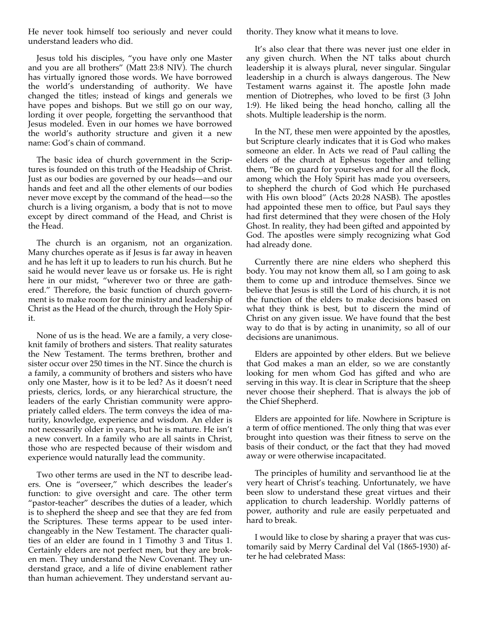He never took himself too seriously and never could understand leaders who did.

Jesus told his disciples, "you have only one Master and you are all brothers" (Matt 23:8 NIV). The church has virtually ignored those words. We have borrowed the world's understanding of authority. We have changed the titles; instead of kings and generals we have popes and bishops. But we still go on our way, lording it over people, forgetting the servanthood that Jesus modeled. Even in our homes we have borrowed the world's authority structure and given it a new name: God's chain of command.

The basic idea of church government in the Scriptures is founded on this truth of the Headship of Christ. Just as our bodies are governed by our heads—and our hands and feet and all the other elements of our bodies never move except by the command of the head—so the church is a living organism, a body that is not to move except by direct command of the Head, and Christ is the Head.

The church is an organism, not an organization. Many churches operate as if Jesus is far away in heaven and he has left it up to leaders to run his church. But he said he would never leave us or forsake us. He is right here in our midst, "wherever two or three are gathered." Therefore, the basic function of church government is to make room for the ministry and leadership of Christ as the Head of the church, through the Holy Spirit.

None of us is the head. We are a family, a very closeknit family of brothers and sisters. That reality saturates the New Testament. The terms brethren, brother and sister occur over 250 times in the NT. Since the church is a family, a community of brothers and sisters who have only one Master, how is it to be led? As it doesn't need priests, clerics, lords, or any hierarchical structure, the leaders of the early Christian community were appropriately called elders. The term conveys the idea of maturity, knowledge, experience and wisdom. An elder is not necessarily older in years, but he is mature. He isn't a new convert. In a family who are all saints in Christ, those who are respected because of their wisdom and experience would naturally lead the community.

Two other terms are used in the NT to describe leaders. One is "overseer," which describes the leader's function: to give oversight and care. The other term "pastor-teacher" describes the duties of a leader, which is to shepherd the sheep and see that they are fed from the Scriptures. These terms appear to be used interchangeably in the New Testament. The character qualities of an elder are found in 1 Timothy 3 and Titus 1. Certainly elders are not perfect men, but they are broken men. They understand the New Covenant. They understand grace, and a life of divine enablement rather than human achievement. They understand servant authority. They know what it means to love.

It's also clear that there was never just one elder in any given church. When the NT talks about church leadership it is always plural, never singular. Singular leadership in a church is always dangerous. The New Testament warns against it. The apostle John made mention of Diotrephes, who loved to be first (3 John 1:9). He liked being the head honcho, calling all the shots. Multiple leadership is the norm.

In the NT, these men were appointed by the apostles, but Scripture clearly indicates that it is God who makes someone an elder. In Acts we read of Paul calling the elders of the church at Ephesus together and telling them, "Be on guard for yourselves and for all the flock, among which the Holy Spirit has made you overseers, to shepherd the church of God which He purchased with His own blood" (Acts 20:28 NASB). The apostles had appointed these men to office, but Paul says they had first determined that they were chosen of the Holy Ghost. In reality, they had been gifted and appointed by God. The apostles were simply recognizing what God had already done.

Currently there are nine elders who shepherd this body. You may not know them all, so I am going to ask them to come up and introduce themselves. Since we believe that Jesus is still the Lord of his church, it is not the function of the elders to make decisions based on what they think is best, but to discern the mind of Christ on any given issue. We have found that the best way to do that is by acting in unanimity, so all of our decisions are unanimous.

Elders are appointed by other elders. But we believe that God makes a man an elder, so we are constantly looking for men whom God has gifted and who are serving in this way. It is clear in Scripture that the sheep never choose their shepherd. That is always the job of the Chief Shepherd.

Elders are appointed for life. Nowhere in Scripture is a term of office mentioned. The only thing that was ever brought into question was their fitness to serve on the basis of their conduct, or the fact that they had moved away or were otherwise incapacitated.

The principles of humility and servanthood lie at the very heart of Christ's teaching. Unfortunately, we have been slow to understand these great virtues and their application to church leadership. Worldly patterns of power, authority and rule are easily perpetuated and hard to break.

I would like to close by sharing a prayer that was customarily said by Merry Cardinal del Val (1865-1930) after he had celebrated Mass: